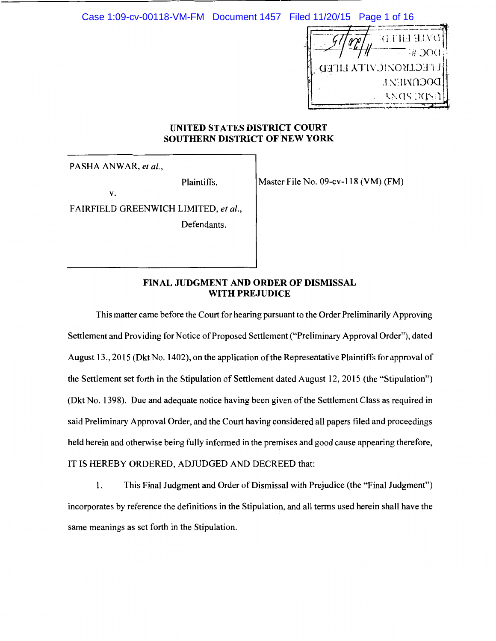Case 1:09-cv-00118-VM-FM Document 1457 Filed 11/20/15 Page 1 of 16



## **UNITED STATES DISTRICT COURT SOUTHERN DISTRICT OF NEW YORK**

PASHA ANWAR, *et al.,* 

Plaintiffs,

v.

FAIRFIELD GREENWICH LIMITED, *et al.,* 

Defendants.

Master File No. 09-cv-118 (VM) (FM)

# **FINAL JUDGMENT AND ORDER OF DISMISSAL WITH PREJUDICE**

This matter came before the Court for hearing pursuant to the Order Preliminarily Approving Settlement and Providing for Notice of Proposed Settlement ("Preliminary Approval Order"), dated August 13., 2015 (Dkt No. 1402), on the application of the Representative Plaintiffs for approval of the Settlement set forth in the Stipulation of Settlement dated August 12, 2015 (the "Stipulation") (Dkt No. 1398). Due and adequate notice having been given of the Settlement Class as required in said Preliminary Approval Order, and the Court having considered all papers filed and proceedings held herein and otherwise being fully informed in the premises and good cause appearing therefore, IT IS HEREBY ORDERED, ADJUDGED AND DECREED that:

1. This Final Judgment and Order of Dismissal with Prejudice (the "Final Judgment") incorporates by reference the definitions in the Stipulation, and all terms used herein shall have the same meanings as set forth in the Stipulation.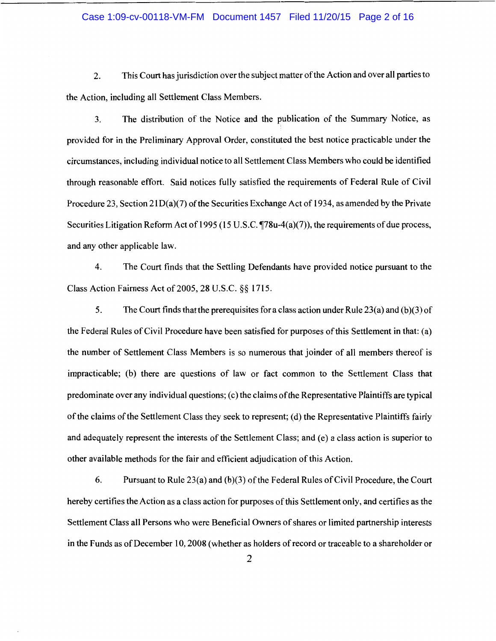#### Case 1:09-cv-00118-VM-FM Document 1457 Filed 11/20/15 Page 2 of 16

2. This Court has jurisdiction over the subject matter of the Action and over all parties to the Action, including all Settlement Class Members.

3. The distribution of the Notice and the publication of the Summary Notice, as provided for in the Preliminary Approval Order, constituted the best notice practicable under the circumstances, including individual notice to all Settlement Class Members who could be identified through reasonable effort. Said notices fully satisfied the requirements of Federal Rule of Civil Procedure 23, Section 21 D(a)(7) of the Securities Exchange Act of 1934, as amended by the Private Securities Litigation Reform Act of 1995 (15 U.S.C.  $\P$ 78u-4(a)(7)), the requirements of due process, and any other applicable law.

4. The Court finds that the Settling Defendants have provided notice pursuant to the Class Action Fairness Act of 2005, 28 U.S.C. §§ 1715.

5. The Court finds that the prerequisites for a class action under Rule 23(a) and (b)(3) of the Federal Rules of Civil Procedure have been satisfied for purposes of this Settlement in that: (a) the number of Settlement Class Members is so numerous that joinder of all members thereof is impracticable; (b) there are questions of law or fact common to the Settlement Class that predominate over any individual questions; ( c) the claims of the Representative Plaintiffs are typical of the claims of the Settlement Class they seek to represent; (d) the Representative Plaintiffs fairly and adequately represent the interests of the Settlement Class; and (e) a class action is superior to other available methods for the fair and efficient adjudication of this Action.

6. Pursuant to Rule 23(a) and (b)(3) of the Federal Rules of Civil Procedure, the Court hereby certifies the Action as a class action for purposes of this Settlement only, and certifies as the Settlement Class all Persons who were Beneficial Owners of shares or limited partnership interests in the Funds as of December 10, 2008 (whether as holders of record or traceable to a shareholder or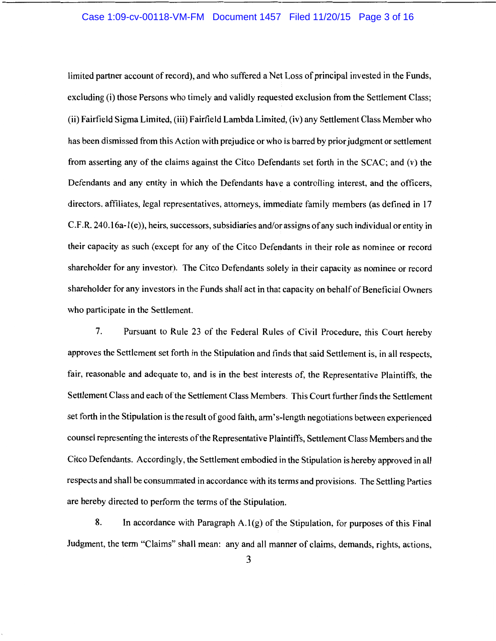#### Case 1:09-cv-00118-VM-FM Document 1457 Filed 11/20/15 Page 3 of 16

limited partner account of record), and who suffered a Net Loss of principal invested in the Funds, excluding (i) those Persons who timely and validly requested exclusion from the Settlement Class; (ii) Fairfield Sigma Limited, (iii) Fairfield Lambda Limited, (iv) any Settlement Class Member who has been dismissed from this Action with prejudice or who is barred by prior judgment or settlement from asserting any of the claims against the Citco Defendants set forth in the SCAC; and (v) the Defendants and any entity in which the Defendants have a controlling interest, and the officers, directors, affiliates, legal representatives, attorneys, immediate family members (as defined in 17  $C.F.R. 240.16a-1(e)$ , heirs, successors, subsidiaries and/or assigns of any such individual or entity in their capacity as such (except for any of the Citco Defendants in their role as nominee or record shareholder for any investor). The Citco Defendants solely in their capacity as nominee or record shareholder for any investors in the Funds shall act in that capacity on behalf of Beneficial Owners who participate in the Settlement.

7. Pursuant to Rule 23 of the Federal Rules of Civil Procedure, this Court hereby approves the Settlement set forth in the Stipulation and finds that said Settlement is, in all respects, fair, reasonable and adequate to, and is in the best interests of, the Representative Plaintiffs, the Settlement Class and each of the Settlement Class Members. This Court further finds the Settlement set forth in the Stipulation is the result of good faith, arm's-length negotiations between experienced counsel representing the interests of the Representative Plaintiffs, Settlement Class Members and the Citco Defendants. Accordingly, the Settlement embodied in the Stipulation is hereby approved in all respects and shall be consummated in accordance with its terms and provisions. The Settling Parties are hereby directed to perform the terms of the Stipulation.

8. In accordance with Paragraph  $A.1(g)$  of the Stipulation, for purposes of this Final Judgment, the term "Claims" shall mean: any and all manner of claims, demands, rights, actions,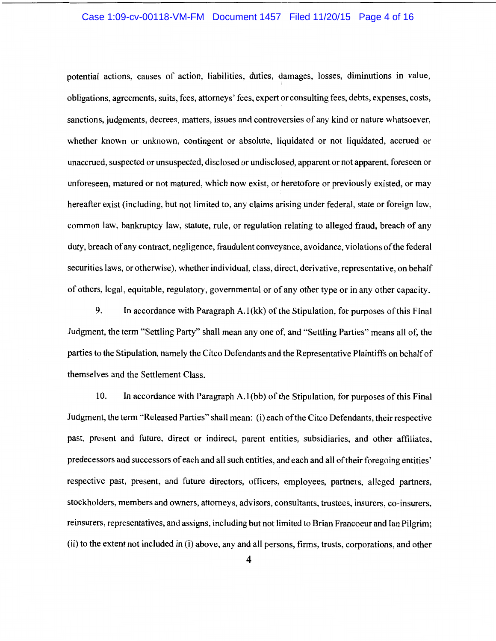#### Case 1:09-cv-00118-VM-FM Document 1457 Filed 11/20/15 Page 4 of 16

potential actions, causes of action, liabilities, duties, damages, losses, diminutions in value, obligations, agreements, suits, fees, attorneys' fees, expert or consulting fees, debts, expenses, costs, sanctions, judgments, decrees, matters, issues and controversies of any kind or nature whatsoever, whether known or unknown, contingent or absolute, liquidated or not liquidated, accrued or unaccrued, suspected or unsuspected, disclosed or undisclosed, apparent or not apparent, foreseen or unforeseen, matured or not matured, which now exist, or heretofore or previously existed, or may hereafter exist (including, but not limited to, any claims arising under federal, state or foreign law, common law, bankruptcy law, statute, rule, or regulation relating to alleged fraud, breach of any duty, breach of any contract, negligence, fraudulent conveyance, avoidance, violations of the federal securities laws, or otherwise), whether individual, class, direct, derivative, representative, on behalf of others, legal, equitable, regulatory, governmental or of any other type or in any other capacity.

9. In accordance with Paragraph A.l(kk) of the Stipulation, for purposes of this Final Judgment, the term "Settling Party" shall mean any one of, and "Settling Parties" means all of, the parties to the Stipulation, namely the Citco Defendants and the Representative Plaintiffs on behalf of themselves and the Settlement Class.

10. In accordance with Paragraph A. I (bb) of the Stipulation, for purposes of this Final Judgment, the term "Released Parties" shall mean: (i) each of the Citco Defendants, their respective past, present and future, direct or indirect, parent entities, subsidiaries, and other affiliates, predecessors and successors of each and all such entities, and each and all of their foregoing entities' respective past, present, and future directors, officers, employees, partners, alleged partners, stockholders, members and owners, attorneys, advisors, consultants, trustees, insurers, co-insurers, reinsurers, representatives, and assigns, including but not limited to Brian Francoeur and Ian Pilgrim; (ii) to the extent not included in (i) above, any and all persons, firms, trusts, corporations, and other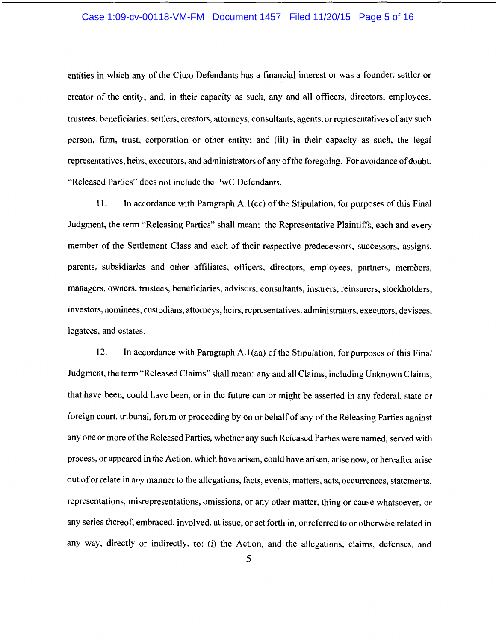#### Case 1:09-cv-00118-VM-FM Document 1457 Filed 11/20/15 Page 5 of 16

entities in which any of the Citco Defendants has a financial interest or was a founder, settler or creator of the entity, and, in their capacity as such, any and all officers, directors, employees, trustees, beneficiaries, settlers, creators, attorneys, consultants, agents, or representatives of any such person, firm, trust, corporation or other entity; and (iii) in their capacity as such, the legal representatives, heirs, executors, and administrators of any of the foregoing. For avoidance of doubt, "Released Parties" does not include the PwC Defendants.

11. In accordance with Paragraph A. I (cc) of the Stipulation, for purposes of this Final Judgment, the term "Releasing Parties" shall mean: the Representative Plaintiffs, each and every member of the Settlement Class and each of their respective predecessors, successors, assigns, parents, subsidiaries and other affiliates, officers, directors, employees, partners, members, managers, owners, trustees, beneficiaries, advisors, consultants, insurers, reinsurers, stockholders, investors, nominees, custodians, attorneys, heirs, representatives, administrators, executors, devisees, legatees, and estates.

12. In accordance with Paragraph A.l(aa) of the Stipulation, for purposes of this Final Judgment, the term "Released Claims" shall mean: any and all Claims, including Unknown Claims, that have been, could have been, or in the future can or might be asserted in any federal, state or foreign court, tribunal, forum or proceeding by on or behalf of any of the Releasing Parties against any one or more of the Released Parties, whether any such Released Parties were named, served with process, or appeared in the Action, which have arisen, could have arisen, arise now, or hereafter arise out of or relate in any manner to the allegations, facts, events, matters, acts, occurrences, statements, representations, misrepresentations, omissions, or any other matter, thing or cause whatsoever, or any series thereof, embraced, involved, at issue, or set forth in, or referred to or otherwise related in any way, directly or indirectly, to: (i) the Action, and the allegations, claims, defenses, and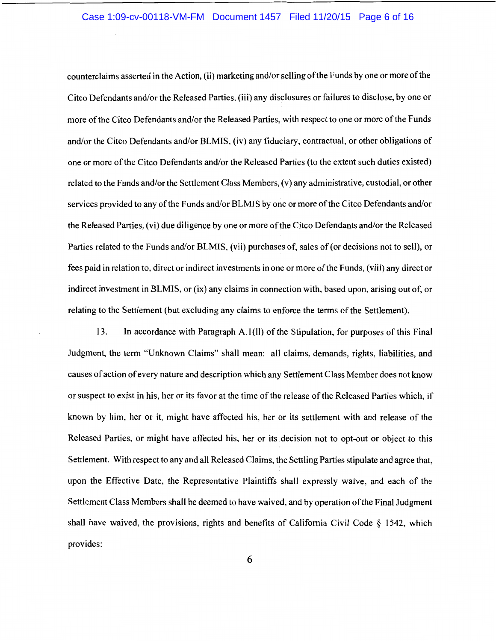#### Case 1:09-cv-00118-VM-FM Document 1457 Filed 11/20/15 Page 6 of 16

counterclaims asserted in the Action, (ii) marketing and/or selling of the Funds by one or more of the Citco Defendants and/or the Released Parties, (iii) any disclosures or failures to disclose, by one or more of the Citco Defendants and/or the Released Parties, with respect to one or more of the Funds and/or the Citco Defendants and/or BLMIS, (iv) any fiduciary, contractual, or other obligations of one or more of the Citco Defendants and/or the Released Parties (to the extent such duties existed) related to the Funds and/or the Settlement Class Members, (v) any administrative, custodial, or other services provided to any of the Funds and/or BLMIS by one or more of the Citco Defendants and/or the Released Parties, (vi) due diligence by one or more of the Citco Defendants and/or the Released Parties related to the Funds and/or BLMIS, (vii) purchases of, sales of (or decisions not to sell), or fees paid in relation to, direct or indirect investments in one or more of the Funds, (viii) any direct or indirect investment in BLMIS, or (ix) any claims in connection with, based upon, arising out of, or relating to the Settlement (but excluding any claims to enforce the terms of the Settlement).

13. In accordance with Paragraph A.1(II) of the Stipulation, for purposes of this Final Judgment, the term "Unknown Claims" shall mean: all claims, demands, rights, liabilities, and causes of action of every nature and description which any Settlement Class Member does not know or suspect to exist in his, her or its favor at the time of the release of the Released Parties which, if known by him, her or it, might have affected his, her or its settlement with and release of the Released Parties, or might have affected his, her or its decision not to opt-out or object to this Settlement. With respect to any and all Released Claims, the Settling Parties stipulate and agree that, upon the Effective Date, the Representative Plaintiffs shall expressly waive, and each of the Settlement Class Members shall be deemed to have waived, and by operation of the Final Judgment shall have waived, the provisions, rights and benefits of California Civil Code  $\S$  1542, which provides: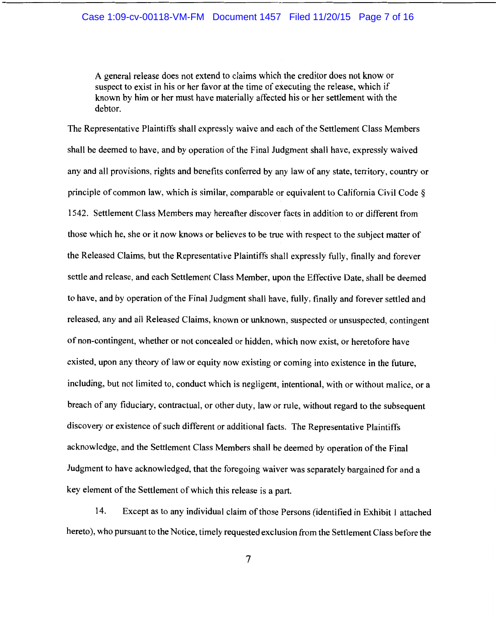A general release does not extend to claims which the creditor does not know or suspect to exist in his or her favor at the time of executing the release, which if known by him or her must have materially affected his or her settlement with the debtor.

The Representative Plaintiffs shall expressly waive and each of the Settlement Class Members shall be deemed to have, and by operation of the Final Judgment shall have, expressly waived any and all provisions, rights and benefits conferred by any law of any state, territory, country or principle of common law, which is similar, comparable or equivalent to California Civil Code § 1542. Settlement Class Members may hereafter discover facts in addition to or different from those which he, she or it now knows or believes to be true with respect to the subject matter of the Released Claims, but the Representative Plaintiffs shall expressly fully, finally and forever settle and release, and each Settlement Class Member, upon the Effective Date, shall be deemed to have, and by operation of the Final Judgment shall have, fully, finally and forever settled and released, any and all Released Claims, known or unknown, suspected or unsuspected, contingent of non-contingent, whether or not concealed or hidden, which now exist, or heretofore have existed, upon any theory of law or equity now existing or coming into existence in the future, including, but not limited to, conduct which is negligent, intentional, with or without malice, or a breach of any fiduciary, contractual, or other duty, law or rule, without regard to the subsequent discovery or existence of such different or additional facts. The Representative Plaintiffs acknowledge, and the Settlement Class Members shall be deemed by operation of the Final Judgment to have acknowledged, that the foregoing waiver was separately bargained for and a key element of the Settlement of which this release is a part.

14. Except as to any individual claim of those Persons (identified in Exhibit 1 attached hereto), who pursuant to the Notice, timely requested exclusion from the Settlement Class before the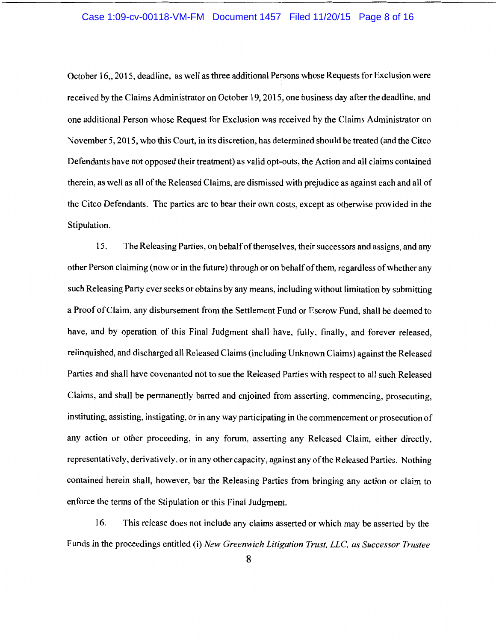#### Case 1:09-cv-00118-VM-FM Document 1457 Filed 11/20/15 Page 8 of 16

October 16,, 2015, deadline, as well as three additional Persons whose Requests for Exclusion were received by the Claims Administrator on October 19, 2015, one business day after the deadline, and one additional Person whose Request for Exclusion was received by the Claims Administrator on November 5, 2015, who this Court, in its discretion, has determined should be treated (and the Citco Defendants have not opposed their treatment) as valid opt-outs, the Action and all claims contained therein, as well as all of the Released Claims, are dismissed with prejudice as against each and all of the Citco Defendants. The parties are to bear their own costs, except as otherwise provided in the Stipulation.

15. The Releasing Parties, on behalf of themselves, their successors and assigns, and any other Person claiming (now or in the future) through or on behalf of them, regardless of whether any such Releasing Party ever seeks or obtains by any means, including without limitation by submitting a Proof of Claim, any disbursement from the Settlement Fund or Escrow Fund, shall be deemed to have, and by operation of this Final Judgment shall have, fully, finally, and forever released, relinquished, and discharged all Released Claims (including Unknown Claims) against the Released Parties and shall have covenanted not to sue the Released Parties with respect to all such Released Claims, and shall be permanently barred and enjoined from asserting, commencing, prosecuting, instituting, assisting, instigating, or in any way participating in the commencement or prosecution of any action or other proceeding, in any forum, asserting any Released Claim, either directly, representatively, derivatively, or in any other capacity, against any of the Released Parties. Nothing contained herein shall, however, bar the Releasing Parties from bringing any action or claim to enforce the terms of the Stipulation or this Final Judgment.

16. This release does not include any claims asserted or which may be asserted by the Funds in the proceedings entitled (i) *New Greenwich Litigation Trust, LLC, as Successor Trustee*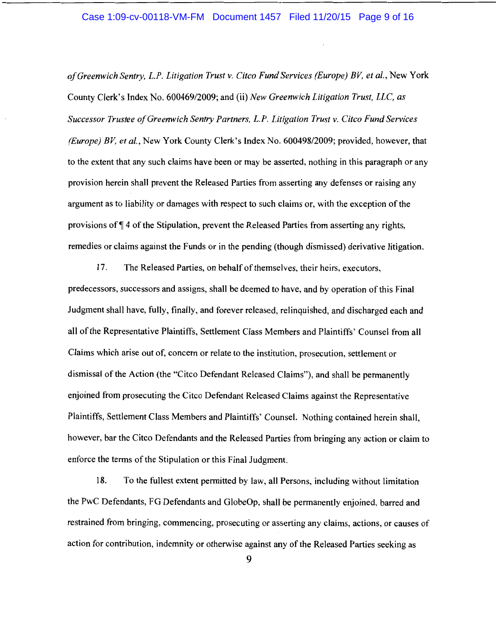#### Case 1:09-cv-00118-VM-FM Document 1457 Filed 11/20/15 Page 9 of 16

*of Greenwich Sentry, L.P. Litigation Trust v. Citco Fund Services (Europe) BV, et al.,* New York County Clerk's Index No. 600469/2009; and (ii) *New Greenwich Litigation Trust, LLC, as Successor Trustee of Greenwich Sentry Partners, L.P. Litigation Trust v. Citco Fund Services (Europe) BV, et al.,* New York County Clerk's Index No. 600498/2009; provided, however, that to the extent that any such claims have been or may be asserted, nothing in this paragraph or any provision herein shall prevent the Released Parties from asserting any defenses or raising any argument as to liability or damages with respect to such claims or, with the exception of the provisions of  $\P$  4 of the Stipulation, prevent the Released Parties from asserting any rights, remedies or claims against the Funds or in the pending (though dismissed) derivative litigation.

17. The Released Parties, on behalf of themselves, their heirs, executors, predecessors, successors and assigns, shall be deemed to have, and by operation of this Final Judgment shall have, fully, finally, and forever released, relinquished, and discharged each and all of the Representative Plaintiffs, Settlement Class Members and Plaintiffs' Counsel from all Claims which arise out of, concern or relate to the institution, prosecution, settlement or dismissal of the Action (the "Citco Defendant Released Claims"), and shall be permanently enjoined from prosecuting the Citco Defendant Released! Claims against the Representative Plaintiffs, Settlement Class Members and Plaintiffs' Counsel. Nothing contained herein shall, however, bar the Citco Defendants and the Released Parties from bringing any action or claim to enforce the terms of the Stipulation or this Final Judgment.

18. To the fullest extent permitted by law, all Persons, including without limitation the PwC Defendants, FG Defendants and GlobeOp, shall be permanently enjoined, barred and restrained from bringing, commencing, prosecuting or asserting any claims, actions, or causes of action for contribution, indemnity or otherwise against any of the Released Parties seeking as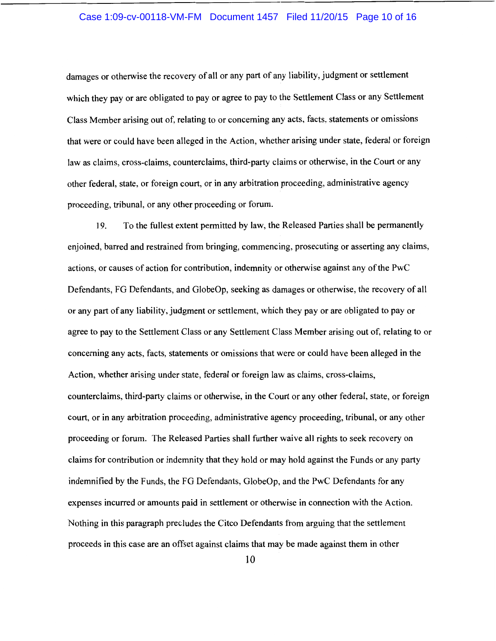#### Case 1:09-cv-00118-VM-FM Document 1457 Filed 11/20/15 Page 10 of 16

damages or otherwise the recovery of all or any part of any liability, judgment or settlement which they pay or are obligated to pay or agree to pay to the Settlement Class or any Settlement Class Member arising out of, relating to or concerning any acts, facts, statements or omissions that were or could have been alleged in the Action, whether arising under state, federal or foreign law as claims, cross-claims, counterclaims, third-party claims or otherwise, in the Court or any other federal, state, or foreign court, or in any arbitration proceeding, administrative agency proceeding, tribunal, or any other proceeding or forum.

19. To the fullest extent permitted by law, the Released Parties shall be permanently enjoined, barred and restrained from bringing, commencing, prosecuting or asserting any claims, actions, or causes of action for contribution, indemnity or otherwise against any of the PwC Defendants, FG Defendants, and GlobeOp, seeking as damages or otherwise, the recovery of all or any part of any liability, judgment or settlement, which they pay or are obligated to pay or agree to pay to the Settlement Class or any Settlement Class Member arising out of, relating to or concerning any acts, facts, statements or omissions that were or could have been alleged in the Action, whether arising under state, federal or foreign law as claims, cross-claims, counterclaims, third-party claims or otherwise, in the Court or any other federal, state, or foreign court, or in any arbitration proceeding, administrative agency proceeding, tribunal, or any other proceeding or forum. The Released Parties shall further waive all rights to seek recovery on claims for contribution or indemnity that they hold or may hold against the Funds or any party indemnified by the Funds, the FG Defendants, GlobeOp, and the PwC Defendants for any expenses incurred or amounts paid in settlement or otherwise in connection with the Action. Nothing in this paragraph precludes the Citco Defendants from arguing that the settlement proceeds in this case are an offset against claims that may be made against them in other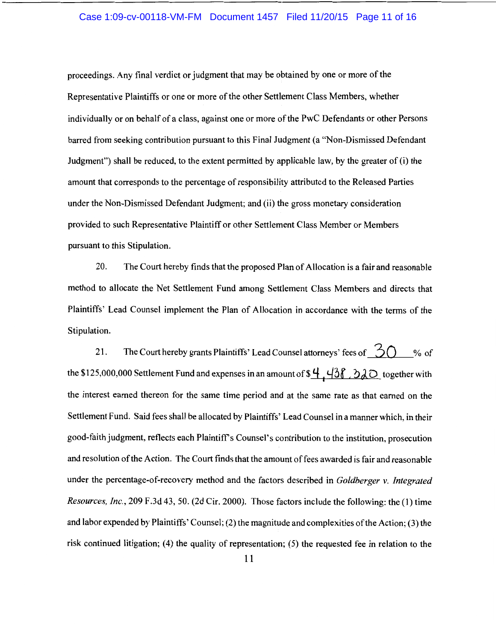#### Case 1:09-cv-00118-VM-FM Document 1457 Filed 11/20/15 Page 11 of 16

proceedings. Any final verdict or judgment that may be obtained by one or more of the Representative Plaintiffs or one or more of the other Settlement Class Members, whether individually or on behalf of a class, against one or more of the PwC Defendants or other Persons barred from seeking contribution pursuant to this Final Judgment (a "Non-Dismissed Defendant Judgment") shall be reduced, to the extent permitted by applicable law, by the greater of (i) the amount that corresponds to the percentage of responsibility attributed to the Released Parties under the Non-Dismissed Defendant Judgment; and (ii) the gross monetary consideration provided to such Representative Plaintiff or other Settlement Class Member or Members pursuant to this Stipulation.

20. The Court hereby finds that the proposed Plan of Allocation is a fair and reasonable method to allocate the Net Settlement Fund among Settlement Class Members and directs that Plaintiffs' Lead Counsel implement the Plan of Allocation in accordance with the terms of the Stipulation.

21. The Court hereby grants Plaintiffs' Lead Counsel attorneys' fees of  $\tilde{\mathcal{L}}$   $\bigcap$  % of the \$125,000,000 Settlement Fund and expenses in an amount of  $\frac{4}{36}$   $\frac{438}{20}$  together with the interest earned thereon for the same time period and at the same rate as that earned on the Settlement Fund. Said fees shall be allocated by Plaintiffs' Lead Counsel in a manner which, in their good-faith judgment, reflects each Plaintiffs Counsel's contribution to the institution, prosecution and resolution of the Action. The Court finds that the amount of fees awarded is fair and reasonable under the percentage-of-recovery method and the factors described in *Goldberger v. Integrated Resources, Inc.,* 209 F.3d 43, 50. (2d Cir. 2000). Those factors include the following: the (1) time and labor expended by Plaintiffs' Counsel; (2) the magnitude and complexities of the Action; (3) the risk continued litigation; (4) the quality of representation; (5) the requested fee in relation to the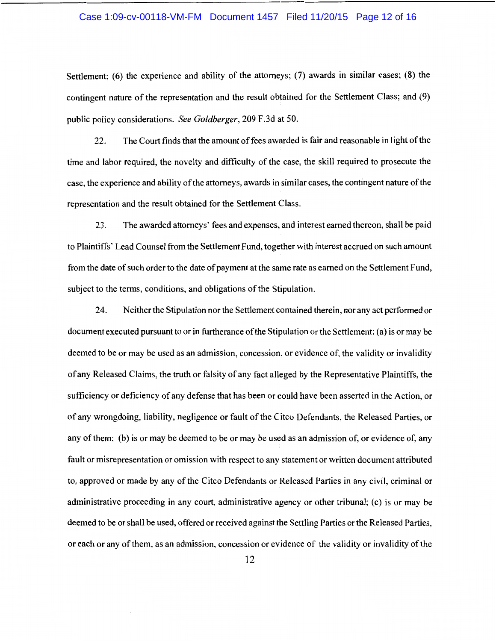#### Case 1:09-cv-00118-VM-FM Document 1457 Filed 11/20/15 Page 12 of 16

Settlement; (6) the experience and ability of the attorneys; (7) awards in similar cases; (8) the contingent nature of the representation and the result obtained for the Settlement Class; and (9) public policy considerations. *See Goldberger,* 209 F .3d at 50.

22. The Court finds that the amount of fees awarded is fair and reasonable in light of the time and labor required, the novelty and difficulty of the case, the skill required to prosecute the case, the experience and ability of the attorneys, awards in similar cases, the contingent nature of the representation and the result obtained for the Settlement Class.

23. The awarded attorneys' fees and expenses, and interest earned thereon, shall be paid to Plaintiffs' Lead Counsel from the Settlement Fund, together with interest accrued on such amount from the date of such order to the date of payment at the same rate as earned on the Settlement Fund, subject to the terms, conditions, and obligations of the Stipulation.

24. Neither the Stipulation nor the Settlement contained therein, nor any act performed or document executed pursuant to or in furtherance of the Stipulation or the Settlement: (a) is or may be deemed to be or may be used as an admission, concession, or evidence of, the validity or invalidity of any Released Claims, the truth or falsity of any fact alleged by the Representative Plaintiffs, the sufficiency or deficiency of any defense that has been or could have been asserted in the Action, or of any wrongdoing, liability, negligence or fault of the Citco Defendants, the Released Parties, or any of them; (b) is or may be deemed to be or may be used as an admission of, or evidence of, any fault or misrepresentation or omission with respect to any statement or written document attributed to, approved or made by any of the Citco Defendants or Released Parties in any civil, criminal or administrative proceeding in any court, administrative agency or other tribunal; (c) is or may be deemed to be or shall be used, offered or received against the Settling Parties or the Released Parties, or each or any of them, as an admission, concession or evidence of the validity or invalidity of the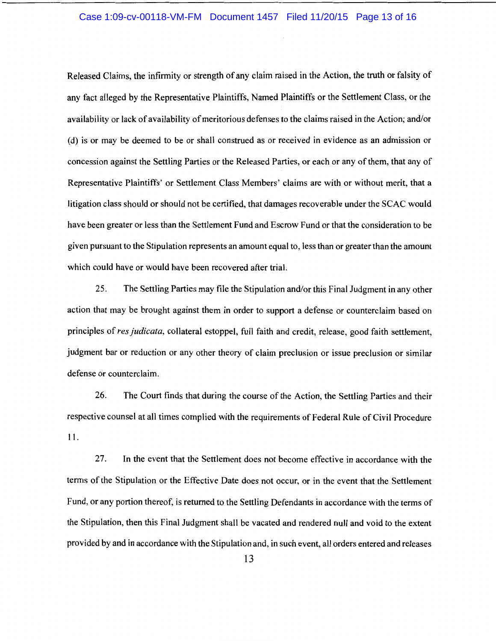#### Case 1:09-cv-00118-VM-FM Document 1457 Filed 11/20/15 Page 13 of 16

Released Claims, the infirmity or strength of any claim raised in the Action, the truth or falsity of any fact alleged by the Representative Plaintiffs, Named Plaintiffs or the Settlement Class, or the availability or lack of availability of meritorious defenses to the claims raised in the Action; and/or ( d) is or may be deemed to be or shall construed as or received in evidence as an admission or concession against the Settling Parties or the Released Parties, or each or any of them, that any of Representative Plaintiffs' or Settlement Class Members' claims are with or without merit, that a litigation class should or should not be certified, that damages recoverable under the SCAC would have been greater or less than the Settlement Fund and Escrow Fund or that the consideration to be given pursuant to the Stipulation represents an amount equal to, less than or greater than the amount which could have or would have been recovered after trial.

25. The Settling Parties may file the Stipulation and/or this Final Judgment in any other action that may be brought against them in order to support a defense or counterclaim based on principles of *res judicata,* collateral estoppel, full faith and credit, release, good faith settlement, judgment bar or reduction or any other theory of claim preclusion or issue preclusion or similar defense or counterclaim.

26. The Court finds that during the course of the Action, the Settling Parties and their respective counsel at all times complied with the requirements of Federal Rule of Civil Procedure 11.

27. In the event that the Settlement does not become effective in accordance with the terms of the Stipulation or the Effective Date does not occur, or in the event that the Settlement Fund, or any portion thereof, is returned to the Settling Defendants in accordance with the terms of the Stipulation, then this Final Judgment shall be vacated and rendered null and void to the extent provided by and in accordance with the Stipulation and, in such event, all orders entered and releases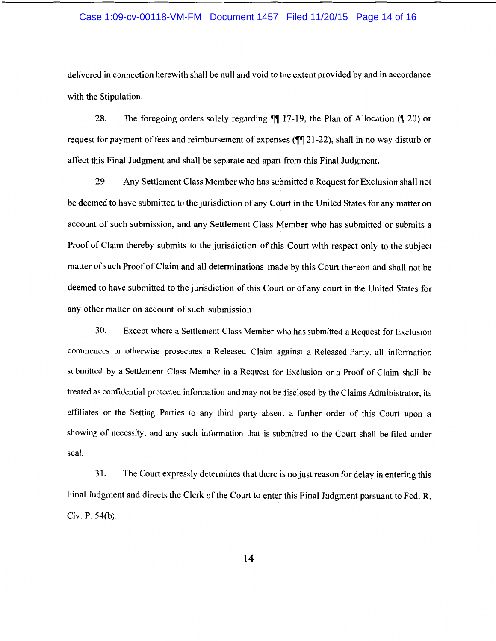#### Case 1:09-cv-00118-VM-FM Document 1457 Filed 11/20/15 Page 14 of 16

delivered in connection herewith shall be null and void to the extent provided by and in accordance with the Stipulation.

28. The foregoing orders solely regarding  $\P$  17-19, the Plan of Allocation ( $\P$  20) or request for payment of fees and reimbursement of expenses ( $\P$  $[21-22)$ , shall in no way disturb or affect this Final Judgment and shall be separate and apart from this Final Judgment.

29. Any Settlement Class Member who has submitted a Request for Exclusion shall not be deemed to have submitted to the jurisdiction of any Court in the United States for any matter on account of such submission, and any Settlement Class Member who has submitted or submits a Proof of Claim thereby submits to the jurisdiction of this Court with respect only to the subject matter of such Proof of Claim and all determinations made by this Court thereon and shall not be deemed to have submitted to the jurisdiction of this Court or of any court in the United States for any other matter on account of such submission.

30. Except where a Settlement Class Member who has submitted a Request for Exclusion commences or otherwise prosecutes a Released Claim against a Released Party, all information submitted by a Settlement Class Member in a Request for Exclusion or a Proof of Claim shall be treated as confidential protected information and may not be disclosed by the Claims Administrator, its affiliates or the Setting Parties to any third party absent a further order of this Court upon a showing of necessity, and any such information that is submitted to the Court shall be filed under seal.

31. The Court expressly determines that there is no just reason for delay in entering this Final Judgment and directs the Clerk of the Court to enter this Final Judgment pursuant to Fed. R. Civ. P. 54(b).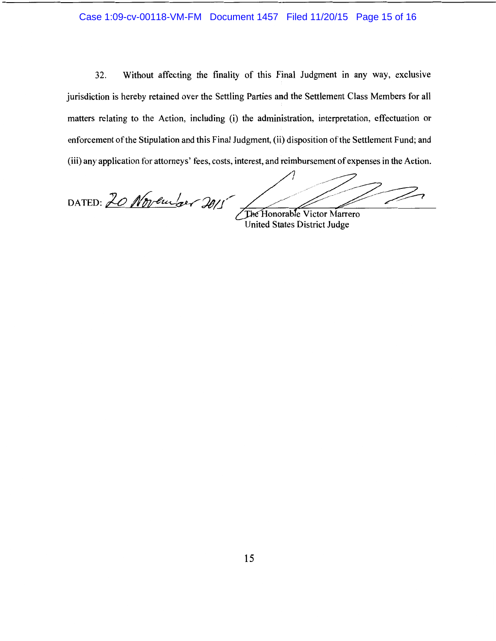### Case 1:09-cv-00118-VM-FM Document 1457 Filed 11/20/15 Page 15 of 16

32. Without affecting the finality of this Final Judgment in any way, exclusive jurisdiction is hereby retained over the Settling Parties and the Settlement Class Members for all matters relating to the Action, including (i) the administration, interpretation, effectuation or enforcement of the Stipulation and this Final Judgment, (ii) disposition of the Settlement Fund; and (iii) any application for attorneys' fees, costs, interest, and reimbursement of expenses in the Action.

D DATED: 20 November 2015 The Honorable Victor Marrero

United States District Judge